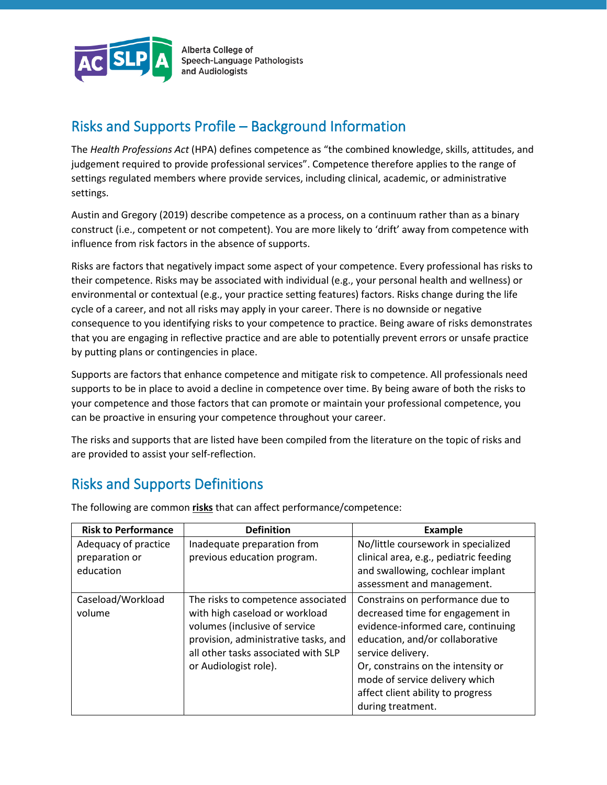

Alberta College of **Speech-Language Pathologists** and Audiologists

## Risks and Supports Profile – Background Information

The *Health Professions Act* (HPA) defines competence as "the combined knowledge, skills, attitudes, and judgement required to provide professional services". Competence therefore applies to the range of settings regulated members where provide services, including clinical, academic, or administrative settings.

Austin and Gregory (2019) describe competence as a process, on a continuum rather than as a binary construct (i.e., competent or not competent). You are more likely to 'drift' away from competence with influence from risk factors in the absence of supports.

Risks are factors that negatively impact some aspect of your competence. Every professional has risks to their competence. Risks may be associated with individual (e.g., your personal health and wellness) or environmental or contextual (e.g., your practice setting features) factors. Risks change during the life cycle of a career, and not all risks may apply in your career. There is no downside or negative consequence to you identifying risks to your competence to practice. Being aware of risks demonstrates that you are engaging in reflective practice and are able to potentially prevent errors or unsafe practice by putting plans or contingencies in place.

Supports are factors that enhance competence and mitigate risk to competence. All professionals need supports to be in place to avoid a decline in competence over time. By being aware of both the risks to your competence and those factors that can promote or maintain your professional competence, you can be proactive in ensuring your competence throughout your career.

The risks and supports that are listed have been compiled from the literature on the topic of risks and are provided to assist your self-reflection.

## Risks and Supports Definitions

| <b>Risk to Performance</b>                          | <b>Definition</b>                                                                                                                                                                                             | <b>Example</b>                                                                                                                                                                                                                                                                                       |
|-----------------------------------------------------|---------------------------------------------------------------------------------------------------------------------------------------------------------------------------------------------------------------|------------------------------------------------------------------------------------------------------------------------------------------------------------------------------------------------------------------------------------------------------------------------------------------------------|
| Adequacy of practice<br>preparation or<br>education | Inadequate preparation from<br>previous education program.                                                                                                                                                    | No/little coursework in specialized<br>clinical area, e.g., pediatric feeding<br>and swallowing, cochlear implant<br>assessment and management.                                                                                                                                                      |
| Caseload/Workload<br>volume                         | The risks to competence associated<br>with high caseload or workload<br>volumes (inclusive of service<br>provision, administrative tasks, and<br>all other tasks associated with SLP<br>or Audiologist role). | Constrains on performance due to<br>decreased time for engagement in<br>evidence-informed care, continuing<br>education, and/or collaborative<br>service delivery.<br>Or, constrains on the intensity or<br>mode of service delivery which<br>affect client ability to progress<br>during treatment. |

The following are common **risks** that can affect performance/competence: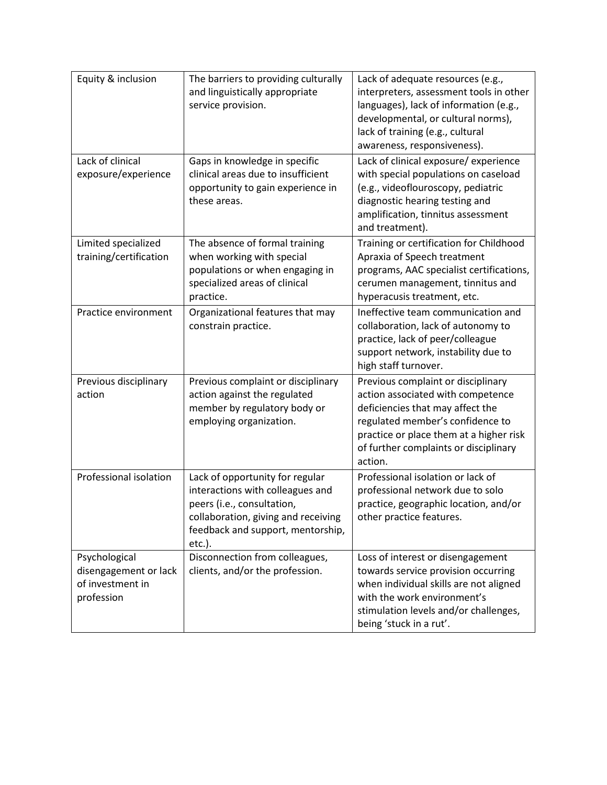| Equity & inclusion                                                       | The barriers to providing culturally<br>and linguistically appropriate<br>service provision.                                                                                            | Lack of adequate resources (e.g.,<br>interpreters, assessment tools in other<br>languages), lack of information (e.g.,<br>developmental, or cultural norms),<br>lack of training (e.g., cultural<br>awareness, responsiveness).                |
|--------------------------------------------------------------------------|-----------------------------------------------------------------------------------------------------------------------------------------------------------------------------------------|------------------------------------------------------------------------------------------------------------------------------------------------------------------------------------------------------------------------------------------------|
| Lack of clinical<br>exposure/experience                                  | Gaps in knowledge in specific<br>clinical areas due to insufficient<br>opportunity to gain experience in<br>these areas.                                                                | Lack of clinical exposure/ experience<br>with special populations on caseload<br>(e.g., videoflouroscopy, pediatric<br>diagnostic hearing testing and<br>amplification, tinnitus assessment<br>and treatment).                                 |
| Limited specialized<br>training/certification                            | The absence of formal training<br>when working with special<br>populations or when engaging in<br>specialized areas of clinical<br>practice.                                            | Training or certification for Childhood<br>Apraxia of Speech treatment<br>programs, AAC specialist certifications,<br>cerumen management, tinnitus and<br>hyperacusis treatment, etc.                                                          |
| Practice environment                                                     | Organizational features that may<br>constrain practice.                                                                                                                                 | Ineffective team communication and<br>collaboration, lack of autonomy to<br>practice, lack of peer/colleague<br>support network, instability due to<br>high staff turnover.                                                                    |
| Previous disciplinary<br>action                                          | Previous complaint or disciplinary<br>action against the regulated<br>member by regulatory body or<br>employing organization.                                                           | Previous complaint or disciplinary<br>action associated with competence<br>deficiencies that may affect the<br>regulated member's confidence to<br>practice or place them at a higher risk<br>of further complaints or disciplinary<br>action. |
| Professional isolation                                                   | Lack of opportunity for regular<br>interactions with colleagues and<br>peers (i.e., consultation,<br>collaboration, giving and receiving<br>feedback and support, mentorship,<br>etc.). | Professional isolation or lack of<br>professional network due to solo<br>practice, geographic location, and/or<br>other practice features.                                                                                                     |
| Psychological<br>disengagement or lack<br>of investment in<br>profession | Disconnection from colleagues,<br>clients, and/or the profession.                                                                                                                       | Loss of interest or disengagement<br>towards service provision occurring<br>when individual skills are not aligned<br>with the work environment's<br>stimulation levels and/or challenges,<br>being 'stuck in a rut'.                          |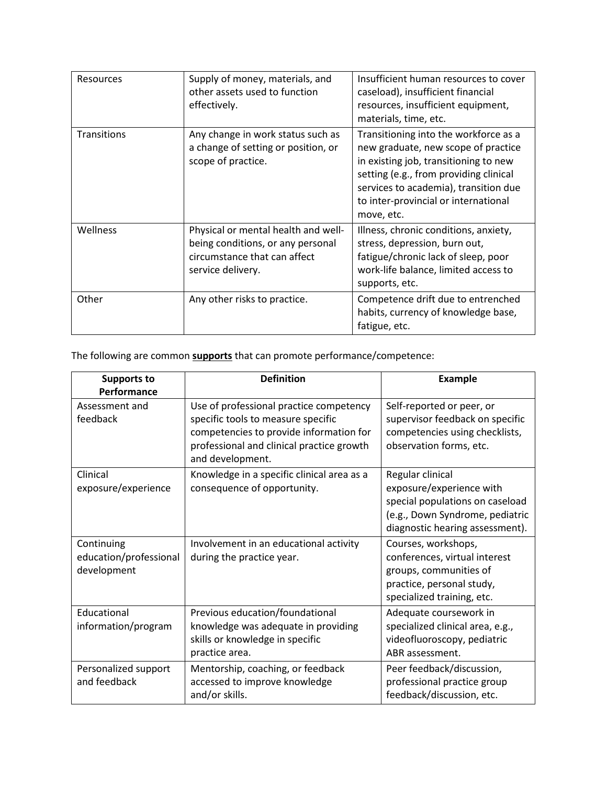| <b>Resources</b>   | Supply of money, materials, and<br>other assets used to function<br>effectively.                                              | Insufficient human resources to cover<br>caseload), insufficient financial<br>resources, insufficient equipment,<br>materials, time, etc.                                                                                                                      |
|--------------------|-------------------------------------------------------------------------------------------------------------------------------|----------------------------------------------------------------------------------------------------------------------------------------------------------------------------------------------------------------------------------------------------------------|
| <b>Transitions</b> | Any change in work status such as<br>a change of setting or position, or<br>scope of practice.                                | Transitioning into the workforce as a<br>new graduate, new scope of practice<br>in existing job, transitioning to new<br>setting (e.g., from providing clinical<br>services to academia), transition due<br>to inter-provincial or international<br>move, etc. |
| Wellness           | Physical or mental health and well-<br>being conditions, or any personal<br>circumstance that can affect<br>service delivery. | Illness, chronic conditions, anxiety,<br>stress, depression, burn out,<br>fatigue/chronic lack of sleep, poor<br>work-life balance, limited access to<br>supports, etc.                                                                                        |
| Other              | Any other risks to practice.                                                                                                  | Competence drift due to entrenched<br>habits, currency of knowledge base,<br>fatigue, etc.                                                                                                                                                                     |

The following are common **supports** that can promote performance/competence:

| <b>Supports to</b><br>Performance                   | <b>Definition</b>                                                                                                                                                                         | <b>Example</b>                                                                                                                                        |
|-----------------------------------------------------|-------------------------------------------------------------------------------------------------------------------------------------------------------------------------------------------|-------------------------------------------------------------------------------------------------------------------------------------------------------|
| Assessment and<br>feedback                          | Use of professional practice competency<br>specific tools to measure specific<br>competencies to provide information for<br>professional and clinical practice growth<br>and development. | Self-reported or peer, or<br>supervisor feedback on specific<br>competencies using checklists,<br>observation forms, etc.                             |
| Clinical<br>exposure/experience                     | Knowledge in a specific clinical area as a<br>consequence of opportunity.                                                                                                                 | Regular clinical<br>exposure/experience with<br>special populations on caseload<br>(e.g., Down Syndrome, pediatric<br>diagnostic hearing assessment). |
| Continuing<br>education/professional<br>development | Involvement in an educational activity<br>during the practice year.                                                                                                                       | Courses, workshops,<br>conferences, virtual interest<br>groups, communities of<br>practice, personal study,<br>specialized training, etc.             |
| Educational<br>information/program                  | Previous education/foundational<br>knowledge was adequate in providing<br>skills or knowledge in specific<br>practice area.                                                               | Adequate coursework in<br>specialized clinical area, e.g.,<br>videofluoroscopy, pediatric<br>ABR assessment.                                          |
| Personalized support<br>and feedback                | Mentorship, coaching, or feedback<br>accessed to improve knowledge<br>and/or skills.                                                                                                      | Peer feedback/discussion,<br>professional practice group<br>feedback/discussion, etc.                                                                 |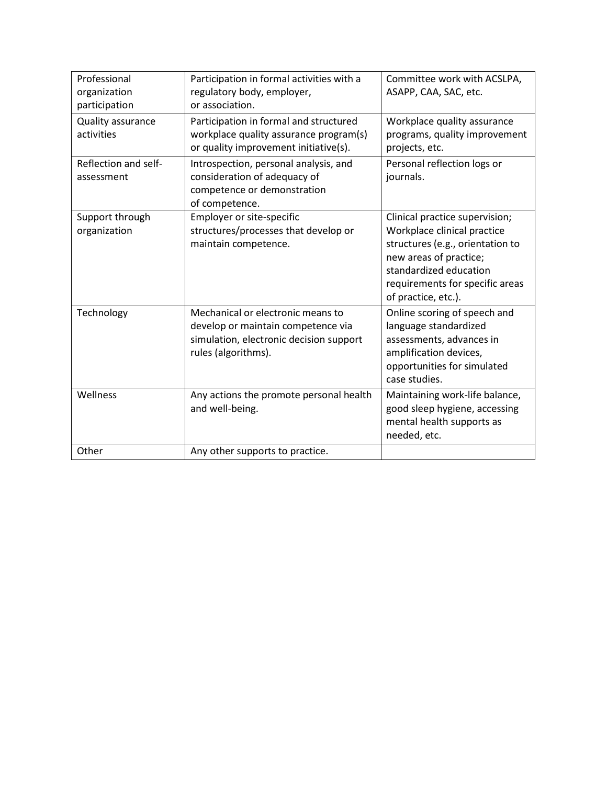| Professional<br>organization<br>participation | Participation in formal activities with a<br>regulatory body, employer,<br>or association.                                                | Committee work with ACSLPA,<br>ASAPP, CAA, SAC, etc.                                                                                                                                                            |
|-----------------------------------------------|-------------------------------------------------------------------------------------------------------------------------------------------|-----------------------------------------------------------------------------------------------------------------------------------------------------------------------------------------------------------------|
| Quality assurance<br>activities               | Participation in formal and structured<br>workplace quality assurance program(s)<br>or quality improvement initiative(s).                 | Workplace quality assurance<br>programs, quality improvement<br>projects, etc.                                                                                                                                  |
| Reflection and self-<br>assessment            | Introspection, personal analysis, and<br>consideration of adequacy of<br>competence or demonstration<br>of competence.                    | Personal reflection logs or<br>journals.                                                                                                                                                                        |
| Support through<br>organization               | Employer or site-specific<br>structures/processes that develop or<br>maintain competence.                                                 | Clinical practice supervision;<br>Workplace clinical practice<br>structures (e.g., orientation to<br>new areas of practice;<br>standardized education<br>requirements for specific areas<br>of practice, etc.). |
| Technology                                    | Mechanical or electronic means to<br>develop or maintain competence via<br>simulation, electronic decision support<br>rules (algorithms). | Online scoring of speech and<br>language standardized<br>assessments, advances in<br>amplification devices,<br>opportunities for simulated<br>case studies.                                                     |
| Wellness                                      | Any actions the promote personal health<br>and well-being.                                                                                | Maintaining work-life balance,<br>good sleep hygiene, accessing<br>mental health supports as<br>needed, etc.                                                                                                    |
| Other                                         | Any other supports to practice.                                                                                                           |                                                                                                                                                                                                                 |